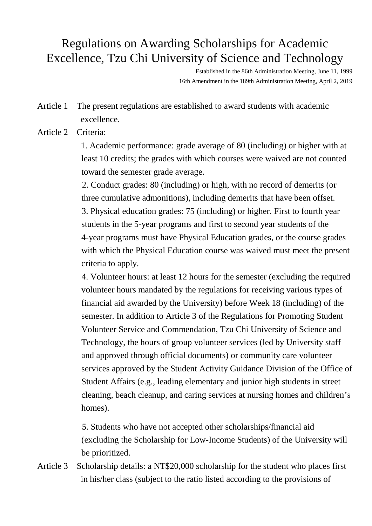## Regulations on Awarding Scholarships for Academic Excellence, Tzu Chi University of Science and Technology

Established in the 86th Administration Meeting, June 11, 1999 16th Amendment in the 189th Administration Meeting, April 2, 2019

Article 1 The present regulations are established to award students with academic excellence.

Article 2 Criteria:

 1. Academic performance: grade average of 80 (including) or higher with at least 10 credits; the grades with which courses were waived are not counted toward the semester grade average.

2. Conduct grades: 80 (including) or high, with no record of demerits (or three cumulative admonitions), including demerits that have been offset. 3. Physical education grades: 75 (including) or higher. First to fourth year students in the 5-year programs and first to second year students of the 4-year programs must have Physical Education grades, or the course grades with which the Physical Education course was waived must meet the present criteria to apply.

4. Volunteer hours: at least 12 hours for the semester (excluding the required volunteer hours mandated by the regulations for receiving various types of financial aid awarded by the University) before Week 18 (including) of the semester. In addition to Article 3 of the Regulations for Promoting Student Volunteer Service and Commendation, Tzu Chi University of Science and Technology, the hours of group volunteer services (led by University staff and approved through official documents) or community care volunteer services approved by the Student Activity Guidance Division of the Office of Student Affairs (e.g., leading elementary and junior high students in street cleaning, beach cleanup, and caring services at nursing homes and children's homes).

5. Students who have not accepted other scholarships/financial aid (excluding the Scholarship for Low-Income Students) of the University will be prioritized.

Article 3 Scholarship details: a NT\$20,000 scholarship for the student who places first in his/her class (subject to the ratio listed according to the provisions of